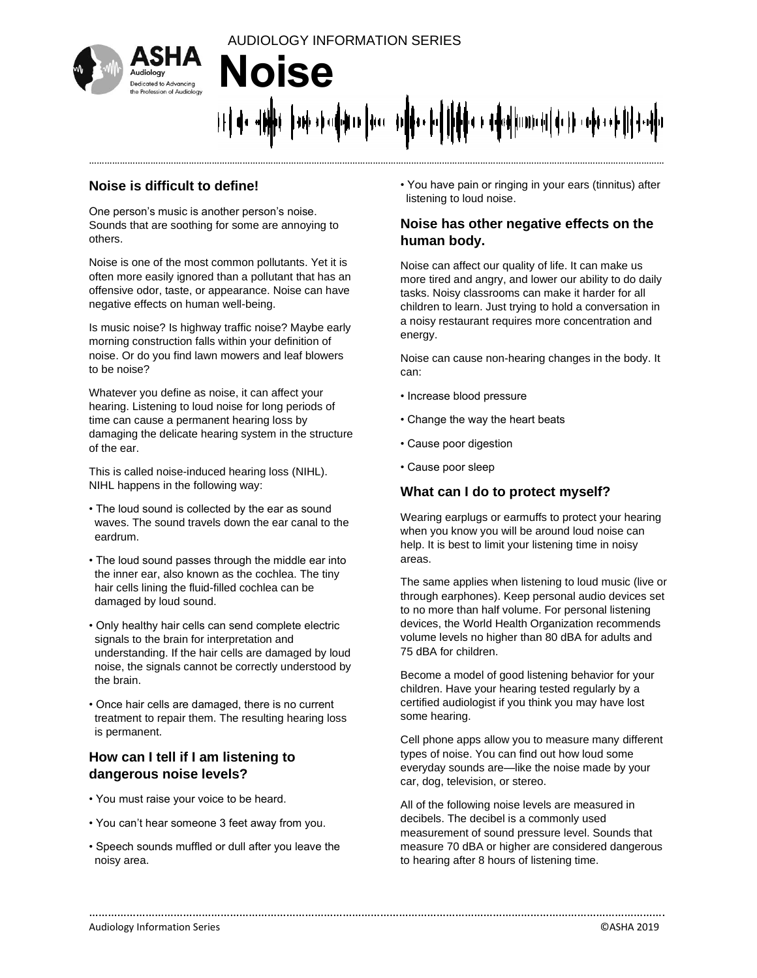

# AUDIOLOGY INFORMATION SERIES **Noise**  ան միավանու∥մա, մո∥իս իվ |իիկա և միավատունքի նի ավտոմի |ի∤մակի

………………………………………………………………………………………………………………………………………………………………………………………………………

………………………………………………………………………………………………………………………………………………………………….

#### **Noise is difficult to define!**

One person's music is another person's noise. Sounds that are soothing for some are annoying to others.

Noise is one of the most common pollutants. Yet it is often more easily ignored than a pollutant that has an offensive odor, taste, or appearance. Noise can have negative effects on human well-being.

Is music noise? Is highway traffic noise? Maybe early morning construction falls within your definition of noise. Or do you find lawn mowers and leaf blowers to be noise?

Whatever you define as noise, it can affect your hearing. Listening to loud noise for long periods of time can cause a permanent hearing loss by damaging the delicate hearing system in the structure of the ear.

This is called noise-induced hearing loss (NIHL). NIHL happens in the following way:

- The loud sound is collected by the ear as sound waves. The sound travels down the ear canal to the eardrum.
- The loud sound passes through the middle ear into the inner ear, also known as the cochlea. The tiny hair cells lining the fluid-filled cochlea can be damaged by loud sound.
- Only healthy hair cells can send complete electric signals to the brain for interpretation and understanding. If the hair cells are damaged by loud noise, the signals cannot be correctly understood by the brain.
- Once hair cells are damaged, there is no current treatment to repair them. The resulting hearing loss is permanent.

#### **How can I tell if I am listening to dangerous noise levels?**

- You must raise your voice to be heard.
- You can't hear someone 3 feet away from you.
- Speech sounds muffled or dull after you leave the noisy area.

• You have pain or ringing in your ears (tinnitus) after listening to loud noise.

#### **Noise has other negative effects on the human body.**

Noise can affect our quality of life. It can make us more tired and angry, and lower our ability to do daily tasks. Noisy classrooms can make it harder for all children to learn. Just trying to hold a conversation in a noisy restaurant requires more concentration and energy.

Noise can cause non-hearing changes in the body. It can:

- Increase blood pressure
- Change the way the heart beats
- Cause poor digestion
- Cause poor sleep

#### **What can I do to protect myself?**

Wearing earplugs or earmuffs to protect your hearing when you know you will be around loud noise can help. It is best to limit your listening time in noisy areas.

The same applies when listening to loud music (live or through earphones). Keep personal audio devices set to no more than half volume. For personal listening devices, the World Health Organization recommends volume levels no higher than 80 dBA for adults and 75 dBA for children.

Become a model of good listening behavior for your children. Have your hearing tested regularly by a certified audiologist if you think you may have lost some hearing.

Cell phone apps allow you to measure many different types of noise. You can find out how loud some everyday sounds are—like the noise made by your car, dog, television, or stereo.

All of the following noise levels are measured in decibels. The decibel is a commonly used measurement of sound pressure level. Sounds that measure 70 dBA or higher are considered dangerous to hearing after 8 hours of listening time.